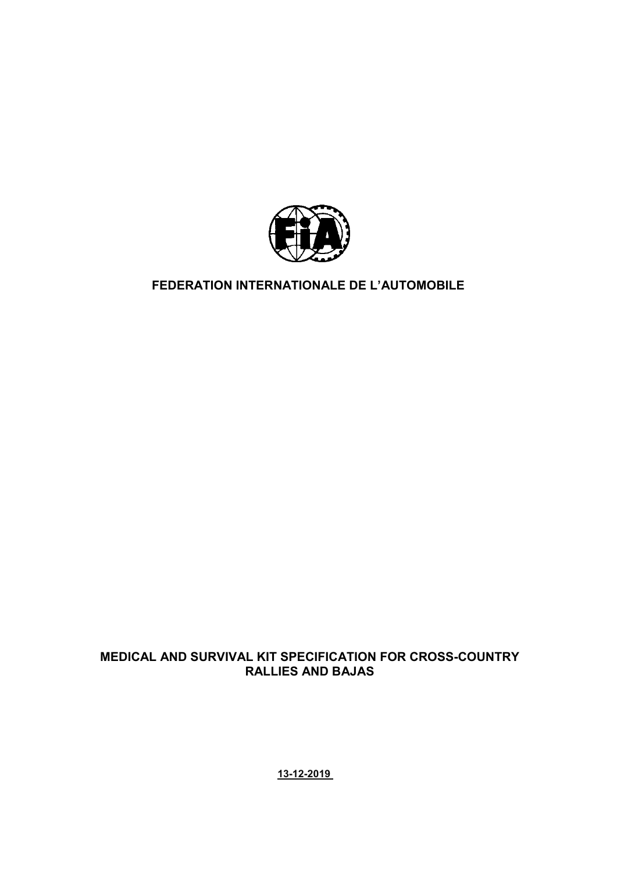

# **FEDERATION INTERNATIONALE DE L'AUTOMOBILE**

# **MEDICAL AND SURVIVAL KIT SPECIFICATION FOR CROSS-COUNTRY RALLIES AND BAJAS**

**13-12-2019**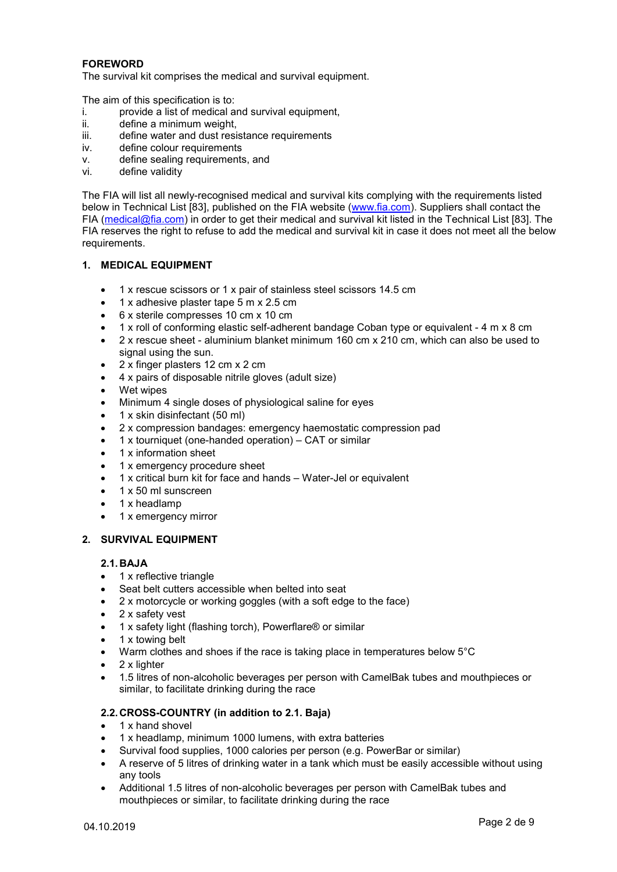# **FOREWORD**

The survival kit comprises the medical and survival equipment.

The aim of this specification is to:

- i. provide a list of medical and survival equipment,<br>ii. define a minimum weight.
- ii. define a minimum weight,<br>iii. define water and dust resi
- define water and dust resistance requirements
- iv. define colour requirements
- v. define sealing requirements, and
- vi. define validity

The FIA will list all newly-recognised medical and survival kits complying with the requirements listed below in Technical List [83], published on the FIA website [\(www.fia.com\)](http://www.fia.com/). Suppliers shall contact the FIA [\(medical@fia.com\)](mailto:medical@fia.com) in order to get their medical and survival kit listed in the Technical List [83]. The FIA reserves the right to refuse to add the medical and survival kit in case it does not meet all the below requirements.

#### **1. MEDICAL EQUIPMENT**

- 1 x rescue scissors or 1 x pair of stainless steel scissors 14.5 cm
- 1 x adhesive plaster tape 5 m x 2.5 cm
- 6 x sterile compresses 10 cm x 10 cm
- 1 x roll of conforming elastic self-adherent bandage Coban type or equivalent 4 m x 8 cm
- 2 x rescue sheet aluminium blanket minimum 160 cm x 210 cm, which can also be used to signal using the sun.
- 2 x finger plasters 12 cm x 2 cm
- 4 x pairs of disposable nitrile gloves (adult size)
- Wet wipes
- Minimum 4 single doses of physiological saline for eyes
- 1 x skin disinfectant (50 ml)
- 2 x compression bandages: emergency haemostatic compression pad
- 1 x tourniquet (one-handed operation) CAT or similar
- 1 x information sheet
- 1 x emergency procedure sheet
- 1 x critical burn kit for face and hands Water-Jel or equivalent
- 1 x 50 ml sunscreen
- 1 x headlamp
- 1 x emergency mirror
- **2. SURVIVAL EQUIPMENT**

#### **2.1. BAJA**

- 1 x [reflective triangle](http://www.dict.cc/englisch-deutsch/reflective+triangle.html)
- Seat belt cutters accessible when belted into seat
- 2 x motorcycle or working goggles (with a soft edge to the face)
- 2 x safety vest
- 1 x safety light (flashing torch), Powerflare® or similar
- 1 x towing belt
- Warm clothes and shoes if the race is taking place in temperatures below 5°C
- 2 x lighter
- 1.5 litres of non-alcoholic beverages per person with CamelBak tubes and mouthpieces or similar, to facilitate drinking during the race

## **2.2. CROSS-COUNTRY (in addition to 2.1. Baja)**

- 1 x hand shovel
- 1 x headlamp, minimum 1000 lumens, with extra batteries
- Survival food supplies, 1000 calories per person (e.g. PowerBar or similar)
- A reserve of 5 litres of drinking water in a tank which must be easily accessible without using any tools
- Additional 1.5 litres of non-alcoholic beverages per person with CamelBak tubes and mouthpieces or similar, to facilitate drinking during the race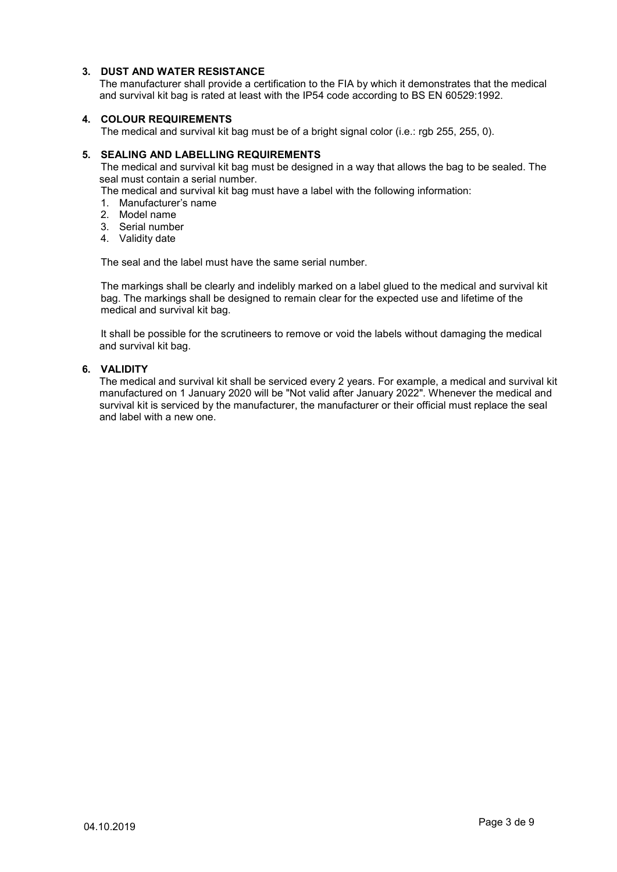# **3. DUST AND WATER RESISTANCE**

The manufacturer shall provide a certification to the FIA by which it demonstrates that the medical and survival kit bag is rated at least with the IP54 code according to BS EN 60529:1992.

## **4. COLOUR REQUIREMENTS**

The medical and survival kit bag must be of a bright signal color (i.e.: rgb 255, 255, 0).

#### **5. SEALING AND LABELLING REQUIREMENTS**

The medical and survival kit bag must be designed in a way that allows the bag to be sealed. The seal must contain a serial number.

The medical and survival kit bag must have a label with the following information:

- 1. Manufacturer's name
- 2. Model name
- 3. Serial number
- 4. Validity date

The seal and the label must have the same serial number.

The markings shall be clearly and indelibly marked on a label glued to the medical and survival kit bag. The markings shall be designed to remain clear for the expected use and lifetime of the medical and survival kit bag.

It shall be possible for the scrutineers to remove or void the labels without damaging the medical and survival kit bag.

#### **6. VALIDITY**

The medical and survival kit shall be serviced every 2 years. For example, a medical and survival kit manufactured on 1 January 2020 will be "Not valid after January 2022". Whenever the medical and survival kit is serviced by the manufacturer, the manufacturer or their official must replace the seal and label with a new one.